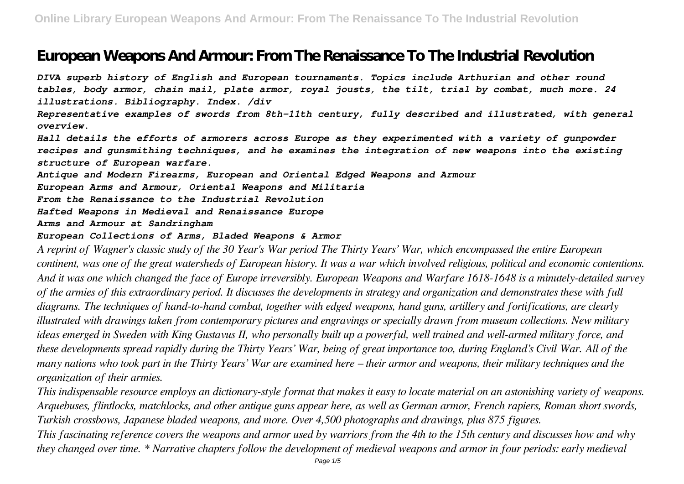# **European Weapons And Armour: From The Renaissance To The Industrial Revolution**

*DIVA superb history of English and European tournaments. Topics include Arthurian and other round tables, body armor, chain mail, plate armor, royal jousts, the tilt, trial by combat, much more. 24 illustrations. Bibliography. Index. /div*

*Representative examples of swords from 8th-11th century, fully described and illustrated, with general overview.*

*Hall details the efforts of armorers across Europe as they experimented with a variety of gunpowder recipes and gunsmithing techniques, and he examines the integration of new weapons into the existing structure of European warfare.*

*Antique and Modern Firearms, European and Oriental Edged Weapons and Armour*

*European Arms and Armour, Oriental Weapons and Militaria*

*From the Renaissance to the Industrial Revolution*

*Hafted Weapons in Medieval and Renaissance Europe*

*Arms and Armour at Sandringham*

#### *European Collections of Arms, Bladed Weapons & Armor*

*A reprint of Wagner's classic study of the 30 Year's War period The Thirty Years' War, which encompassed the entire European continent, was one of the great watersheds of European history. It was a war which involved religious, political and economic contentions. And it was one which changed the face of Europe irreversibly. European Weapons and Warfare 1618-1648 is a minutely-detailed survey of the armies of this extraordinary period. It discusses the developments in strategy and organization and demonstrates these with full diagrams. The techniques of hand-to-hand combat, together with edged weapons, hand guns, artillery and fortifications, are clearly illustrated with drawings taken from contemporary pictures and engravings or specially drawn from museum collections. New military ideas emerged in Sweden with King Gustavus II, who personally built up a powerful, well trained and well-armed military force, and these developments spread rapidly during the Thirty Years' War, being of great importance too, during England's Civil War. All of the many nations who took part in the Thirty Years' War are examined here – their armor and weapons, their military techniques and the organization of their armies.*

*This indispensable resource employs an dictionary-style format that makes it easy to locate material on an astonishing variety of weapons. Arquebuses, flintlocks, matchlocks, and other antique guns appear here, as well as German armor, French rapiers, Roman short swords, Turkish crossbows, Japanese bladed weapons, and more. Over 4,500 photographs and drawings, plus 875 figures.*

*This fascinating reference covers the weapons and armor used by warriors from the 4th to the 15th century and discusses how and why they changed over time. \* Narrative chapters follow the development of medieval weapons and armor in four periods: early medieval*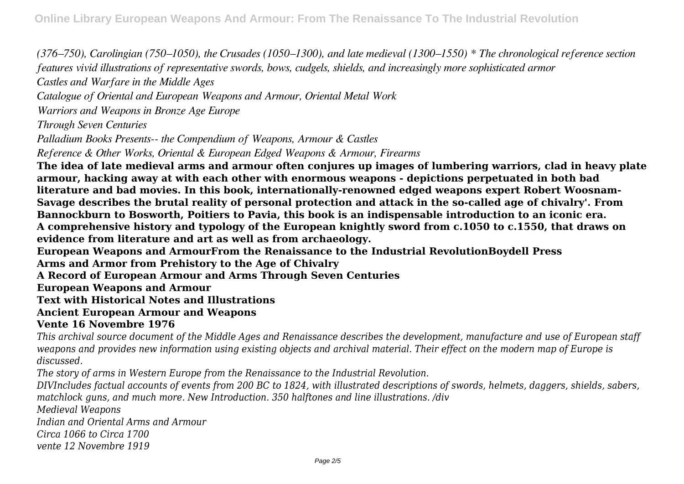*(376–750), Carolingian (750–1050), the Crusades (1050–1300), and late medieval (1300–1550) \* The chronological reference section features vivid illustrations of representative swords, bows, cudgels, shields, and increasingly more sophisticated armor Castles and Warfare in the Middle Ages Catalogue of Oriental and European Weapons and Armour, Oriental Metal Work Warriors and Weapons in Bronze Age Europe Through Seven Centuries Palladium Books Presents-- the Compendium of Weapons, Armour & Castles Reference & Other Works, Oriental & European Edged Weapons & Armour, Firearms* **The idea of late medieval arms and armour often conjures up images of lumbering warriors, clad in heavy plate armour, hacking away at with each other with enormous weapons - depictions perpetuated in both bad literature and bad movies. In this book, internationally-renowned edged weapons expert Robert Woosnam-Savage describes the brutal reality of personal protection and attack in the so-called age of chivalry'. From Bannockburn to Bosworth, Poitiers to Pavia, this book is an indispensable introduction to an iconic era. A comprehensive history and typology of the European knightly sword from c.1050 to c.1550, that draws on**

**evidence from literature and art as well as from archaeology.**

**European Weapons and ArmourFrom the Renaissance to the Industrial RevolutionBoydell Press**

**Arms and Armor from Prehistory to the Age of Chivalry**

**A Record of European Armour and Arms Through Seven Centuries**

**European Weapons and Armour**

**Text with Historical Notes and Illustrations**

#### **Ancient European Armour and Weapons**

## **Vente 16 Novembre 1976**

*This archival source document of the Middle Ages and Renaissance describes the development, manufacture and use of European staff weapons and provides new information using existing objects and archival material. Their effect on the modern map of Europe is discussed.*

*The story of arms in Western Europe from the Renaissance to the Industrial Revolution.*

*DIVIncludes factual accounts of events from 200 BC to 1824, with illustrated descriptions of swords, helmets, daggers, shields, sabers, matchlock guns, and much more. New Introduction. 350 halftones and line illustrations. /div*

*Medieval Weapons*

*Indian and Oriental Arms and Armour*

*Circa 1066 to Circa 1700*

*vente 12 Novembre 1919*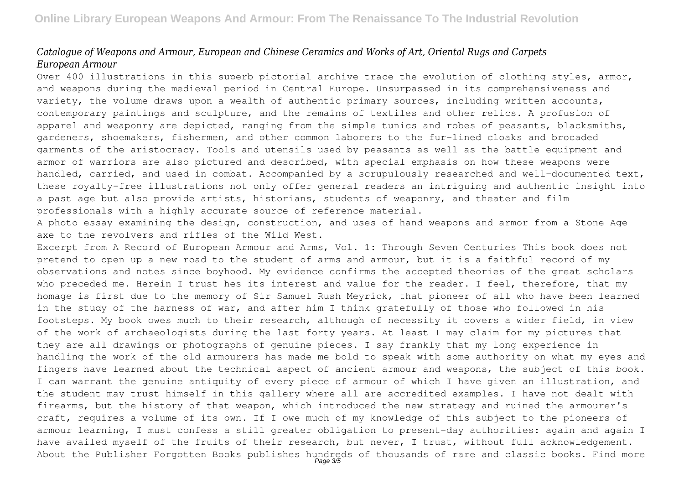### *Catalogue of Weapons and Armour, European and Chinese Ceramics and Works of Art, Oriental Rugs and Carpets European Armour*

Over 400 illustrations in this superb pictorial archive trace the evolution of clothing styles, armor, and weapons during the medieval period in Central Europe. Unsurpassed in its comprehensiveness and variety, the volume draws upon a wealth of authentic primary sources, including written accounts, contemporary paintings and sculpture, and the remains of textiles and other relics. A profusion of apparel and weaponry are depicted, ranging from the simple tunics and robes of peasants, blacksmiths, gardeners, shoemakers, fishermen, and other common laborers to the fur-lined cloaks and brocaded garments of the aristocracy. Tools and utensils used by peasants as well as the battle equipment and armor of warriors are also pictured and described, with special emphasis on how these weapons were handled, carried, and used in combat. Accompanied by a scrupulously researched and well-documented text, these royalty-free illustrations not only offer general readers an intriguing and authentic insight into a past age but also provide artists, historians, students of weaponry, and theater and film professionals with a highly accurate source of reference material.

A photo essay examining the design, construction, and uses of hand weapons and armor from a Stone Age axe to the revolvers and rifles of the Wild West.

Excerpt from A Record of European Armour and Arms, Vol. 1: Through Seven Centuries This book does not pretend to open up a new road to the student of arms and armour, but it is a faithful record of my observations and notes since boyhood. My evidence confirms the accepted theories of the great scholars who preceded me. Herein I trust hes its interest and value for the reader. I feel, therefore, that my homage is first due to the memory of Sir Samuel Rush Meyrick, that pioneer of all who have been learned in the study of the harness of war, and after him I think gratefully of those who followed in his footsteps. My book owes much to their research, although of necessity it covers a wider field, in view of the work of archaeologists during the last forty years. At least I may claim for my pictures that they are all drawings or photographs of genuine pieces. I say frankly that my long experience in handling the work of the old armourers has made me bold to speak with some authority on what my eyes and fingers have learned about the technical aspect of ancient armour and weapons, the subject of this book. I can warrant the genuine antiquity of every piece of armour of which I have given an illustration, and the student may trust himself in this gallery where all are accredited examples. I have not dealt with firearms, but the history of that weapon, which introduced the new strategy and ruined the armourer's craft, requires a volume of its own. If I owe much of my knowledge of this subject to the pioneers of armour learning, I must confess a still greater obligation to present-day authorities: again and again I have availed myself of the fruits of their research, but never, I trust, without full acknowledgement. About the Publisher Forgotten Books publishes hundreds of thousands of rare and classic books. Find more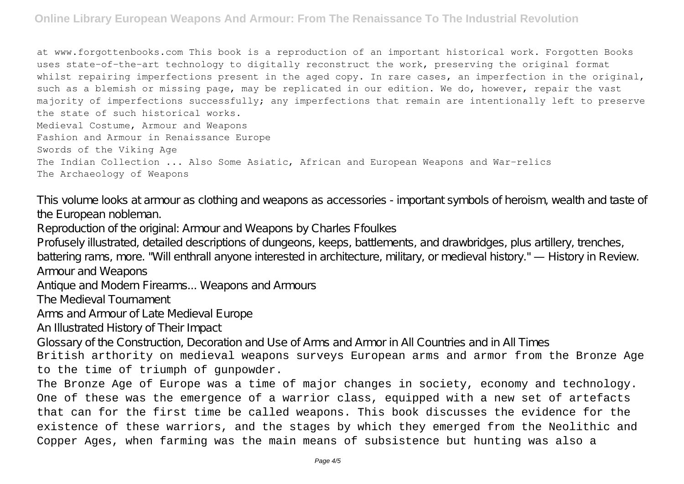at www.forgottenbooks.com This book is a reproduction of an important historical work. Forgotten Books uses state-of-the-art technology to digitally reconstruct the work, preserving the original format whilst repairing imperfections present in the aged copy. In rare cases, an imperfection in the original, such as a blemish or missing page, may be replicated in our edition. We do, however, repair the vast majority of imperfections successfully; any imperfections that remain are intentionally left to preserve the state of such historical works. Medieval Costume, Armour and Weapons Fashion and Armour in Renaissance Europe Swords of the Viking Age The Indian Collection ... Also Some Asiatic, African and European Weapons and War-relics The Archaeology of Weapons

This volume looks at armour as clothing and weapons as accessories - important symbols of heroism, wealth and taste of the European nobleman.

Reproduction of the original: Armour and Weapons by Charles Ffoulkes

Profusely illustrated, detailed descriptions of dungeons, keeps, battlements, and drawbridges, plus artillery, trenches, battering rams, more. "Will enthrall anyone interested in architecture, military, or medieval history." — History in Review. Armour and Weapons

Antique and Modern Firearms... Weapons and Armours

The Medieval Tournament

Arms and Armour of Late Medieval Europe

An Illustrated History of Their Impact

Glossary of the Construction, Decoration and Use of Arms and Armor in All Countries and in All Times

British arthority on medieval weapons surveys European arms and armor from the Bronze Age to the time of triumph of gunpowder.

The Bronze Age of Europe was a time of major changes in society, economy and technology. One of these was the emergence of a warrior class, equipped with a new set of artefacts that can for the first time be called weapons. This book discusses the evidence for the existence of these warriors, and the stages by which they emerged from the Neolithic and Copper Ages, when farming was the main means of subsistence but hunting was also a